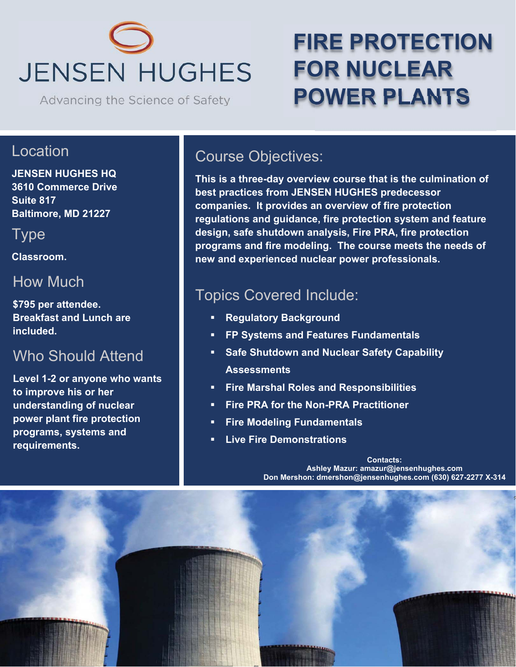# **JENSEN HUGHES**

Advancing the Science of Safety

## **FIRE PROTECTION FOR NUCLEAR POWER PLANTS**

#### Location

**JENSEN HUGHES HQ 3610 Commerce Drive Suite 817 Baltimore, MD 21227** 

Type

**Classroom.** 

#### How Much

**\$795 per attendee. Breakfast and Lunch are included.** 

#### Who Should Attend

**Level 1-2 or anyone who wants to improve his or her understanding of nuclear power plant fire protection programs, systems and requirements.** 

### Course Objectives:

**This is a three-day overview course that is the culmination of best practices from JENSEN HUGHES predecessor companies. It provides an overview of fire protection regulations and guidance, fire protection system and feature design, safe shutdown analysis, Fire PRA, fire protection programs and fire modeling. The course meets the needs of new and experienced nuclear power professionals.** 

#### Topics Covered Include:

- **Regulatory Background**
- **FP Systems and Features Fundamentals**
- **Safe Shutdown and Nuclear Safety Capability Assessments**
- **Fire Marshal Roles and Responsibilities**
- **Fire PRA for the Non-PRA Practitioner**
- **Fire Modeling Fundamentals**
- **Live Fire Demonstrations**

**Contacts: Ashley Mazur: amazur@jensenhughes.com Don Mershon: dmershon@jensenhughes.com (630) 627-2277 X-314**